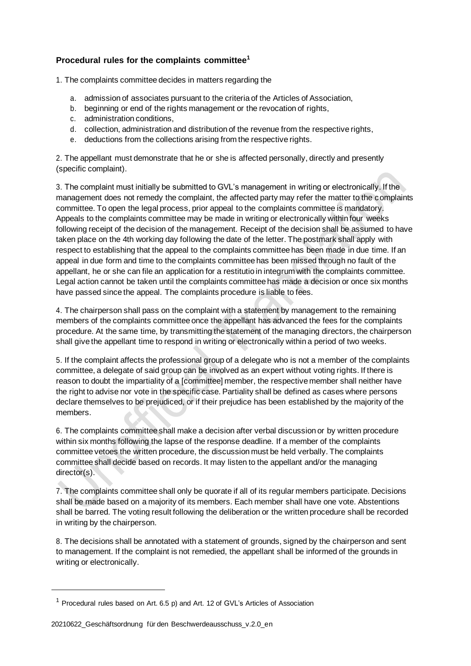## **Procedural rules for the complaints committee<sup>1</sup>**

1. The complaints committee decides in matters regarding the

- a. admission of associates pursuant to the criteria of the Articles of Association,
- b. beginning or end of the rights management or the revocation of rights,
- c. administration conditions,
- d. collection, administration and distribution of the revenue from the respective rights,
- e. deductions from the collections arising from the respective rights.

2. The appellant must demonstrate that he or she is affected personally, directly and presently (specific complaint).

3. The complaint must initially be submitted to GVL's management in writing or electronically. If the management does not remedy the complaint, the affected party may refer the matter to the complaints committee. To open the legal process, prior appeal to the complaints committee is mandatory. Appeals to the complaints committee may be made in writing or electronically within four weeks following receipt of the decision of the management. Receipt of the decision shall be assumed to have taken place on the 4th working day following the date of the letter. The postmark shall apply with respect to establishing that the appeal to the complaints committee has been made in due time. If an appeal in due form and time to the complaints committee has been missed through no fault of the appellant, he or she can file an application for a restitutio in integrum with the complaints committee. Legal action cannot be taken until the complaints committee has made a decision or once six months have passed since the appeal. The complaints procedure is liable to fees.

4. The chairperson shall pass on the complaint with a statement by management to the remaining members of the complaints committee once the appellant has advanced the fees for the complaints procedure. At the same time, by transmitting the statement of the managing directors, the chairperson shall give the appellant time to respond in writing or electronically within a period of two weeks.

5. If the complaint affects the professional group of a delegate who is not a member of the complaints committee, a delegate of said group can be involved as an expert without voting rights. If there is reason to doubt the impartiality of a [committee] member, the respective member shall neither have the right to advise nor vote in the specific case. Partiality shall be defined as cases where persons declare themselves to be prejudiced, or if their prejudice has been established by the majority of the members.

6. The complaints committee shall make a decision after verbal discussion or by written procedure within six months following the lapse of the response deadline. If a member of the complaints committee vetoes the written procedure, the discussion must be held verbally. The complaints committee shall decide based on records. It may listen to the appellant and/or the managing director(s).

7. The complaints committee shall only be quorate if all of its regular members participate. Decisions shall be made based on a majority of its members. Each member shall have one vote. Abstentions shall be barred. The voting result following the deliberation or the written procedure shall be recorded in writing by the chairperson.

8. The decisions shall be annotated with a statement of grounds, signed by the chairperson and sent to management. If the complaint is not remedied, the appellant shall be informed of the grounds in writing or electronically.

 $1$  Procedural rules based on Art. 6.5 p) and Art. 12 of GVL's Articles of Association